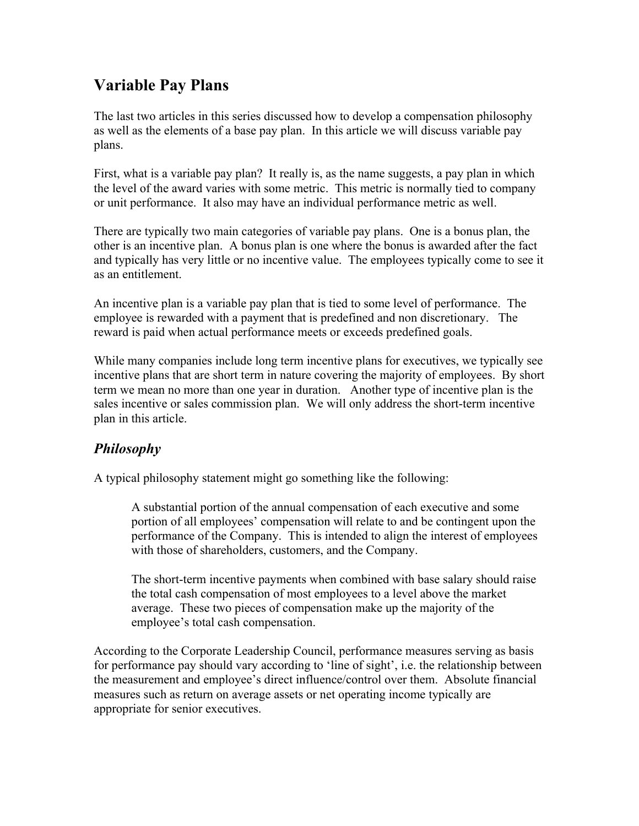## Variable Pay Plans

The last two articles in this series discussed how to develop a compensation philosophy as well as the elements of a base pay plan. In this article we will discuss variable pay plans.

First, what is a variable pay plan? It really is, as the name suggests, a pay plan in which the level of the award varies with some metric. This metric is normally tied to company or unit performance. It also may have an individual performance metric as well.

There are typically two main categories of variable pay plans. One is a bonus plan, the other is an incentive plan. A bonus plan is one where the bonus is awarded after the fact and typically has very little or no incentive value. The employees typically come to see it as an entitlement.

An incentive plan is a variable pay plan that is tied to some level of performance. The employee is rewarded with a payment that is predefined and non discretionary. The reward is paid when actual performance meets or exceeds predefined goals.

While many companies include long term incentive plans for executives, we typically see incentive plans that are short term in nature covering the majority of employees. By short term we mean no more than one year in duration. Another type of incentive plan is the sales incentive or sales commission plan. We will only address the short-term incentive plan in this article.

## *Philosophy*

A typical philosophy statement might go something like the following:

A substantial portion of the annual compensation of each executive and some portion of all employees' compensation will relate to and be contingent upon the performance of the Company. This is intended to align the interest of employees with those of shareholders, customers, and the Company.

The short-term incentive payments when combined with base salary should raise the total cash compensation of most employees to a level above the market average. These two pieces of compensation make up the majority of the employee's total cash compensation.

According to the Corporate Leadership Council, performance measures serving as basis for performance pay should vary according to 'line of sight', i.e. the relationship between the measurement and employee's direct influence/control over them. Absolute financial measures such as return on average assets or net operating income typically are appropriate for senior executives.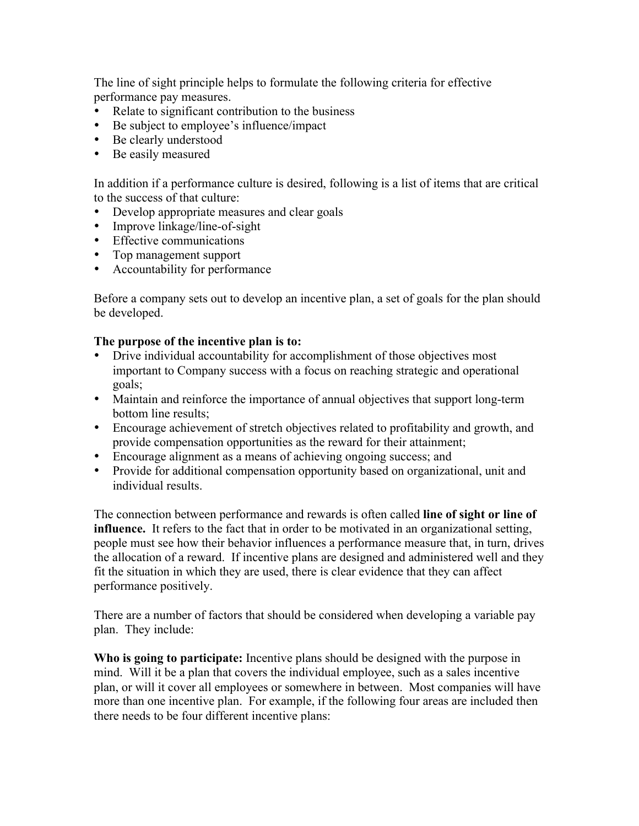The line of sight principle helps to formulate the following criteria for effective performance pay measures.

- Relate to significant contribution to the business
- Be subject to employee's influence/impact
- Be clearly understood
- Be easily measured

In addition if a performance culture is desired, following is a list of items that are critical to the success of that culture:

- Develop appropriate measures and clear goals
- Improve linkage/line-of-sight
- Effective communications
- Top management support
- Accountability for performance

Before a company sets out to develop an incentive plan, a set of goals for the plan should be developed.

## The purpose of the incentive plan is to:

- Drive individual accountability for accomplishment of those objectives most important to Company success with a focus on reaching strategic and operational goals;
- Maintain and reinforce the importance of annual objectives that support long-term bottom line results;
- Encourage achievement of stretch objectives related to profitability and growth, and provide compensation opportunities as the reward for their attainment;
- Encourage alignment as a means of achieving ongoing success; and
- Provide for additional compensation opportunity based on organizational, unit and individual results.

The connection between performance and rewards is often called **line of sight or line of** influence. It refers to the fact that in order to be motivated in an organizational setting, people must see how their behavior influences a performance measure that, in turn, drives the allocation of a reward. If incentive plans are designed and administered well and they fit the situation in which they are used, there is clear evidence that they can affect performance positively.

There are a number of factors that should be considered when developing a variable pay plan. They include:

Who is going to participate: Incentive plans should be designed with the purpose in mind. Will it be a plan that covers the individual employee, such as a sales incentive plan, or will it cover all employees or somewhere in between. Most companies will have more than one incentive plan. For example, if the following four areas are included then there needs to be four different incentive plans: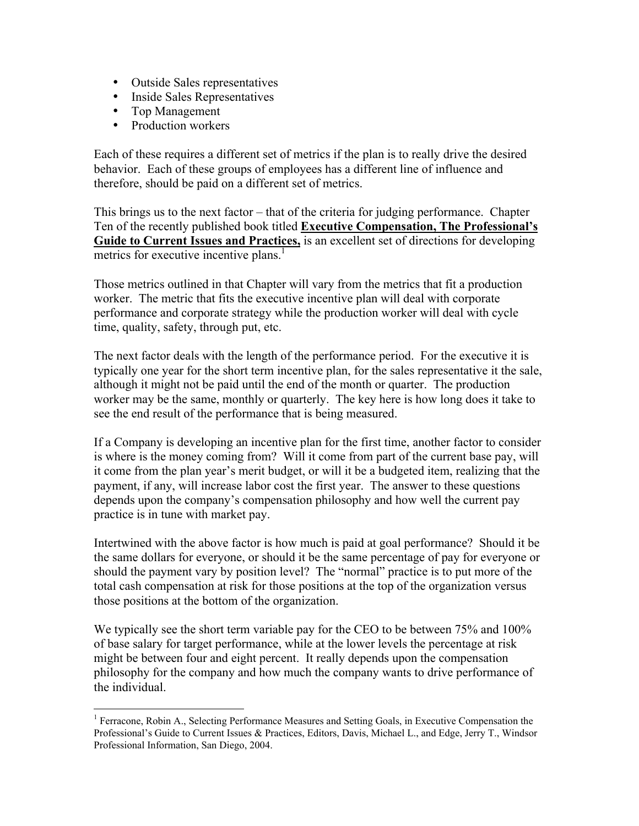- Outside Sales representatives
- Inside Sales Representatives
- Top Management
- Production workers

Each of these requires a different set of metrics if the plan is to really drive the desired behavior. Each of these groups of employees has a different line of influence and therefore, should be paid on a different set of metrics.

This brings us to the next factor – that of the criteria for judging performance. Chapter Ten of the recently published book titled Executive Compensation, The Professional's Guide to Current Issues and Practices, is an excellent set of directions for developing metrics for executive incentive plans.<sup>1</sup>

Those metrics outlined in that Chapter will vary from the metrics that fit a production worker. The metric that fits the executive incentive plan will deal with corporate performance and corporate strategy while the production worker will deal with cycle time, quality, safety, through put, etc.

The next factor deals with the length of the performance period. For the executive it is typically one year for the short term incentive plan, for the sales representative it the sale, although it might not be paid until the end of the month or quarter. The production worker may be the same, monthly or quarterly. The key here is how long does it take to see the end result of the performance that is being measured.

If a Company is developing an incentive plan for the first time, another factor to consider is where is the money coming from? Will it come from part of the current base pay, will it come from the plan year's merit budget, or will it be a budgeted item, realizing that the payment, if any, will increase labor cost the first year. The answer to these questions depends upon the company's compensation philosophy and how well the current pay practice is in tune with market pay.

Intertwined with the above factor is how much is paid at goal performance? Should it be the same dollars for everyone, or should it be the same percentage of pay for everyone or should the payment vary by position level? The "normal" practice is to put more of the total cash compensation at risk for those positions at the top of the organization versus those positions at the bottom of the organization.

We typically see the short term variable pay for the CEO to be between 75% and 100% of base salary for target performance, while at the lower levels the percentage at risk might be between four and eight percent. It really depends upon the compensation philosophy for the company and how much the company wants to drive performance of the individual.

 $\frac{1}{1}$ <sup>1</sup> Ferracone, Robin A., Selecting Performance Measures and Setting Goals, in Executive Compensation the Professional's Guide to Current Issues & Practices, Editors, Davis, Michael L., and Edge, Jerry T., Windsor Professional Information, San Diego, 2004.